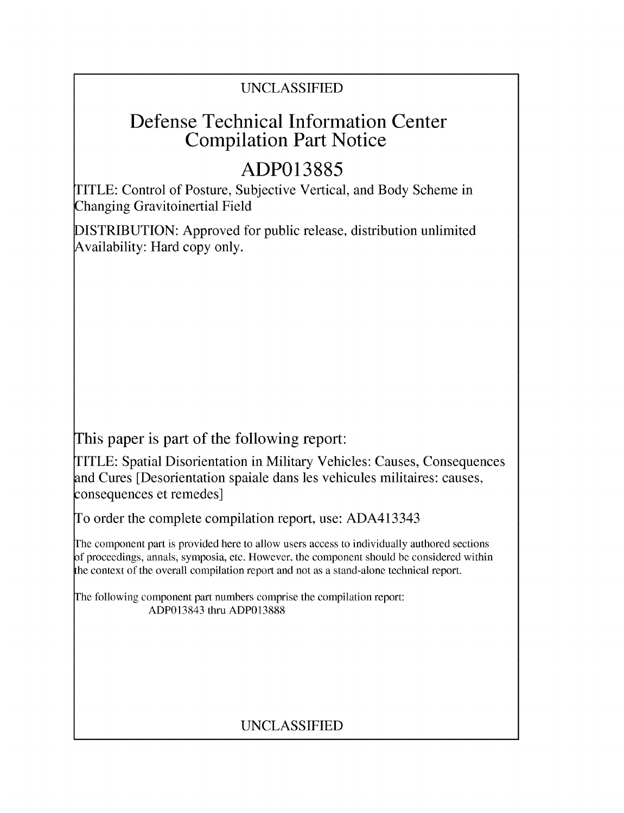## UNCLASSIFIED

# Defense Technical Information Center Compilation Part Notice

# **ADP013885**

TITLE: Control of Posture, Subjective Vertical, and Body Scheme in Changing Gravitoinertial Field

DISTRIBUTION: Approved for public release, distribution unlimited Availability: Hard copy only.

This paper is part of the following report:

TITLE: Spatial Disorientation in Military Vehicles: Causes, Consequences and Cures [Desorientation spaiale dans les vehicules militaires: causes, consequences et remedes]

To order the complete compilation report, use: ADA413343

The component part is provided here to allow users access to individually authored sections **)f** proceedings, annals, symposia, etc. However, the component should be considered within [he context of the overall compilation report and not as a stand-alone technical report.

The following component part numbers comprise the compilation report: ADP013843 thru ADP013888

## UNCLASSIFIED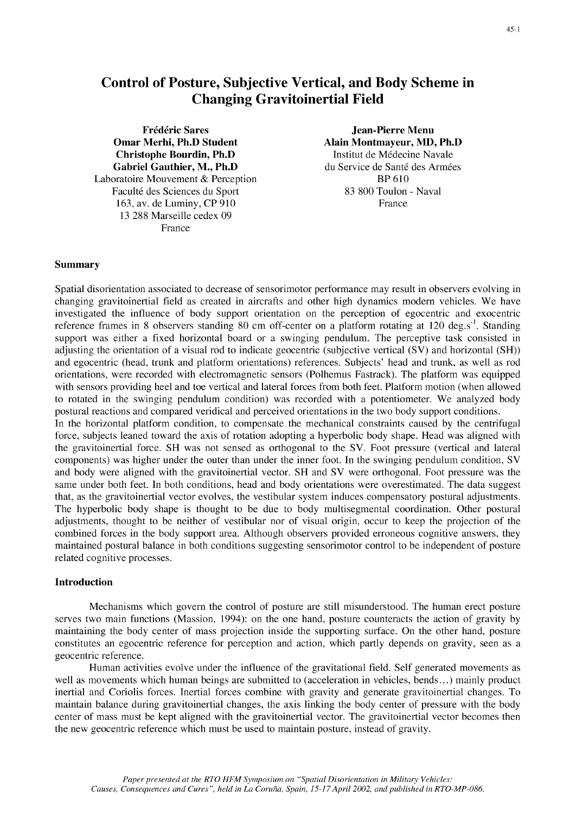### Control of Posture, Subjective Vertical, and Body Scheme in Changing Gravitoinertial Field

Frédéric Sares Jean-Pierre Menu Omar Merhi, Ph.D Student Alain Montmayeur, MD, Ph.D<br>
Christophe Bourdin, Ph.D<br>
Institut de Médecine Navale **Christophe Bourdin, Ph.D 11. Institut de Médecine Navale Gabriel Gauthier. M., Ph.D 1. Institut de Médecine Navale Gabriel Gauthier.** Gabriel Gauthier, M., Ph.D Laboratoire Mouvement & Perception BP **610** Faculté des Sciences du Sport 83 800 Toulon - Naval 163, av. de Luminy, CP 910 France 13 288 Marseille cedex 09 France

#### Summary

Spatial disorientation associated to decrease of sensorimotor performance may result in observers evolving in changing gravitoinertial field as created in aircrafts and other high dynamics modern vehicles. We have investigated the influence of body support orientation on the perception of egocentric and exocentric reference frames in 8 observers standing 80 cm off-center on a platform rotating at 120 deg.s<sup>-1</sup>. Standing support was either a fixed horizontal board or a swinging pendulum. The perceptive task consisted in adjusting the orientation of a visual rod to indicate geocentric (subjective vertical (SV) and horizontal (SH)) and egocentric (head, trunk and platform orientations) references. Subjects' head and trunk, as well as rod orientations, were recorded with electromagnetic sensors (Polhemus Fastrack). The platform was equipped with sensors providing heel and toe vertical and lateral forces from both feet. Platform motion (when allowed to rotated in the swinging pendulum condition) was recorded with a potentiometer. We analyzed body postural reactions and compared veridical and perceived orientations in the two body support conditions. In the horizontal platform condition, to compensate the mechanical constraints caused by the centrifugal force, subjects leaned toward the axis of rotation adopting a hyperbolic body shape. Head was aligned with the gravitoinertial force. SH was not sensed as orthogonal to the SV. Foot pressure (vertical and lateral components) was higher under the outer than under the inner foot. In the swinging pendulum condition, SV and body were aligned with the gravitoinertial vector. SH and SV were orthogonal. Foot pressure was the same under both feet. In both conditions, head and body orientations were overestimated. The data suggest that, as the gravitoinertial vector evolves, the vestibular system induces compensatory postural adjustments. The hyperbolic body shape is thought to be due to body multisegmental coordination. Other postural adjustments, thought to be neither of vestibular nor of visual origin, occur to keep the projection of the combined forces in the body support area. Although observers provided erroneous cognitive answers, they maintained postural balance in both conditions suggesting sensorimotor control to be independent of posture

#### Introduction

related cognitive processes.

Mechanisms which govern the control of posture are still misunderstood. The human erect posture serves two main functions (Massion, 1994): on the one hand, posture counteracts the action of gravity by maintaining the body center of mass projection inside the supporting surface. On the other hand, posture constitutes an egocentric reference for perception and action, which partly depends on gravity, seen as a geocentric reference.

Human activities evolve under the influence of the gravitational field. Self generated movements as well as movements which human beings are submitted to (acceleration in vehicles, bends...) mainly product inertial and Coriolis forces. Inertial forces combine with gravity and generate gravitoinertial changes. To maintain balance during gravitoinertial changes, the axis linking the body center of pressure with the body center of mass must be kept aligned with the gravitoinertial vector. The gravitoinertial vector becomes then the new geocentric reference which must be used to maintain posture, instead of gravity.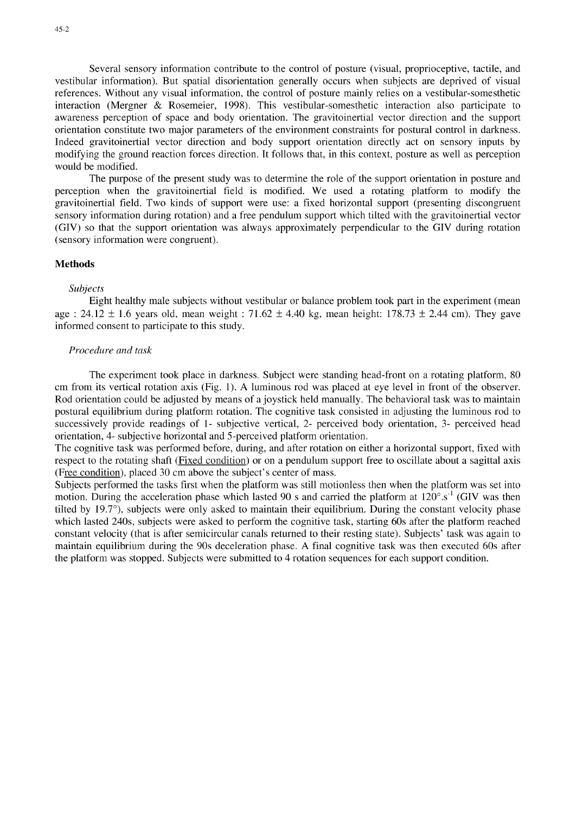Several sensory information contribute to the control of posture (visual, proprioceptive, tactile, and vestibular information). But spatial disorientation generally occurs when subjects are deprived of visual references. Without any visual information, the control of posture mainly relies on a vestibular-somesthetic interaction (Mergner & Rosemeier, 1998). This vestibular-somesthetic interaction also participate to awareness perception of space and body orientation. The gravitoinertial vector direction and the support orientation constitute two major parameters of the environment constraints for postural control in darkness. Indeed gravitoinertial vector direction and body support orientation directly act on sensory inputs by modifying the ground reaction forces direction. It follows that, in this context, posture as well as perception would be modified.

The purpose of the present study was to determine the role of the support orientation in posture and perception when the gravitoinertial field is modified. We used a rotating platform to modify the gravitoinertial field. Two kinds of support were use: a fixed horizontal support (presenting discongruent sensory information during rotation) and a free pendulum support which tilted with the gravitoinertial vector (GIV) so that the support orientation was always approximately perpendicular to the GIV during rotation (sensory information were congruent).

#### **Methods**

#### *Subjects*

Eight healthy male subjects without vestibular or balance problem took part in the experiment (mean age : 24.12 **±** 1.6 years old, mean weight : 71.62 **±** 4.40 kg, mean height: 178.73 **±** 2.44 cm). They gave informed consent to participate to this study.

#### *Procedure and task*

The experiment took place in darkness. Subject were standing head-front on a rotating platform, 80 cm from its vertical rotation axis (Fig. 1). A luminous rod was placed at eye level in front of the observer. Rod orientation could be adjusted by means of a joystick held manually. The behavioral task was to maintain postural equilibrium during platform rotation. The cognitive task consisted in adjusting the luminous rod to successively provide readings of 1- subjective vertical, 2- perceived body orientation, 3- perceived head orientation, 4- subjective horizontal and 5-perceived platform orientation.

The cognitive task was performed before, during, and after rotation on either a horizontal support, fixed with respect to the rotating shaft (Fixed condition) or on a pendulum support free to oscillate about a sagittal axis (Free condition), placed 30 cm above the subject's center of mass.

Subjects performed the tasks first when the platform was still motionless then when the platform was set into motion. During the acceleration phase which lasted 90 s and carried the platform at  $120^{\circ}$ .s<sup>-1</sup> (GIV was then tilted by 19.7<sup>o</sup>), subjects were only asked to maintain their equilibrium. During the constant velocity phase which lasted 240s, subjects were asked to perform the cognitive task, starting 60s after the platform reached constant velocity (that is after semicircular canals returned to their resting state). Subjects' task was again to maintain equilibrium during the 90s deceleration phase. A final cognitive task was then executed 60s after the platform was stopped. Subjects were submitted to 4 rotation sequences for each support condition.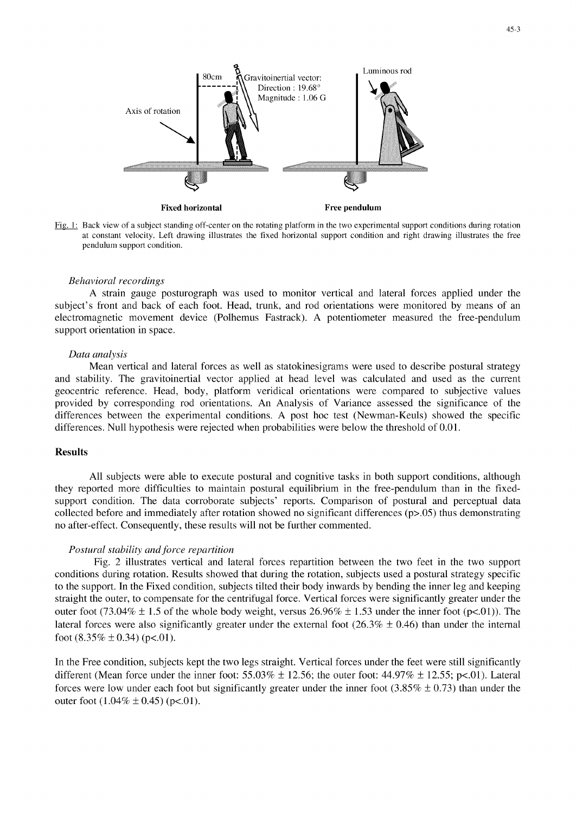

Fixed noticed<br>Fig. 1: Back view of a subject standing off-center on the rotating platform in the two experimental support conditions during rotation at constant velocity. Left drawing illustrates the fixed horizontal support condition and right drawing illustrates the free<br>pendulum support condition.

#### Behavioral recordings

 $\alpha$  strain gauge posturograph was used to monotor vertical and lateral forces applied under the theorem the theorem the theorem the theorem the theorem the theorem the theorem the theorem the theorem the theorem the theo A strain gauge posturograph was used to monitor vertical and lateral forces applied under the subject's front and back of each foot. Head, trunk, and rod orientations were monitored by means of an electromagnetic movement device (Polhemus Fastrack). A potentiometer measured the free-pendulum support orientation in space.

#### Data analysis

Mean vertical and lateral forces as well as statokinesigrams were used to describe postural strategy Mean vertical and fateral forces as well as statokinesigrams were used to describe postural strategy and stability. The gravitoinertial vector applied at head level was calculated and used as the current geocentric reference. Head, body, platform veridical orientations were compared to subjective values provided by corresponding rod orientations. An Analysis of Variance assessed the significance of the differences between the experimental conditions. A post hoc test (Newman-Keuls) showed the specific differences. Null hypothesis were rejected when probabilities were below the threshold of 0.01.

#### Results

All subjects were able to execute postural and cognitive tasks in both support conditions, although All subjects were able to execute postural and cognitive tasks in both support conditions, although they reported more difficulties to maintain postural equilibrium in the free-pendulum than in the fixedsupport condition. The data corroborate subjects' reports. Comparison of postural and perceptual data collected before and immediately after rotation showed no significant differences (p>.05) thus demonstrating no after-effect. Consequently, these results will not be further commented.

#### Postural stability and force repartition ral stability and force repartition between the two feet in the two supports reparties in the two supports of two supports of two supports of two supports of two supports of two supports of two supports of two supports of

Fig. 2 illustrates vertical and lateral forces repartition between the two feet in the two support conditions during rotation. Results showed that during the rotation, subjects used a postural strategy specific to the support. In the Fixed condition, subjects tilted their body inwards by bending the inner leg and keeping straight the outer, to compensate for the centrifugal force. Vertical forces were significantly greater under the outer foot (73.04%  $\pm$  1.5 of the whole body weight, versus 26.96%  $\pm$  1.53 under the inner foot (p<.01)). The lateral forces were also significantly greater under the external foot  $(26.3\% \pm 0.46)$  than under the internal foot  $(8.35\% \pm 0.34)$  (p<.01).

In the Free condition, subjects kept the two legs straight. Vertical forces under the feet were still significantly in the Free condition, subjects kept the two legs straight. Vertical forces under the feet were still significantly different (Mean force under the inner foot:  $55.03\% \pm 12.56$ ; the outer foot:  $44.97\% \pm 12.55$ ; p<01). Lateral forces were low under each foot but significantly greater under the inner foot  $(3.85\% \pm 0.73)$  than under the outer foot  $(1.04\% \pm 0.45)$  (p<.01).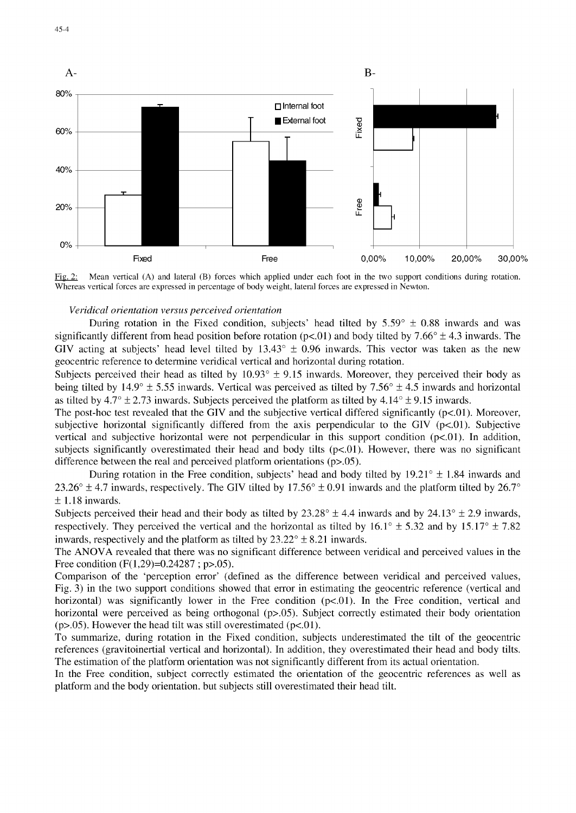

Fig. 2: Mean vertical (A) and lateral (B) forces which applied under each foot in the two support conditions during rotation. Whereas vertical forces are expressed in percentage of body weight, lateral forces are expressed in Newton.

#### *Veridical orientation versus perceived orientation*

During rotation in the Fixed condition, subjects' head tilted by  $5.59^{\circ} \pm 0.88$  inwards and was significantly different from head position before rotation ( $pc$ -01) and body tilted by 7.66°  $\pm$  4.3 inwards. The GIV acting at subjects' head level tilted by  $13.43^{\circ} \pm 0.96$  inwards. This vector was taken as the new geocentric reference to determine veridical vertical and horizontal during rotation.

Subjects perceived their head as tilted by 10.93' **±** 9.15 inwards. Moreover, they perceived their body as being tilted by 14.9' *±* 5.55 inwards. Vertical was perceived as tilted by 7.56' *±* 4.5 inwards and horizontal as tilted by  $4.7^{\circ} \pm 2.73$  inwards. Subjects perceived the platform as tilted by  $4.14^{\circ} \pm 9.15$  inwards.

The post-hoc test revealed that the GIV and the subjective vertical differed significantly  $(p<0.01)$ . Moreover, subjective horizontal significantly differed from the axis perpendicular to the GIV  $(p<.01)$ . Subjective vertical and subjective horizontal were not perpendicular in this support condition  $(p<.01)$ . In addition, subjects significantly overestimated their head and body tilts  $(p<.01)$ . However, there was no significant difference between the real and perceived platform orientations (p>.05).

During rotation in the Free condition, subjects' head and body tilted by  $19.21^{\circ} \pm 1.84$  inwards and 23.26°  $\pm$  4.7 inwards, respectively. The GIV tilted by 17.56°  $\pm$  0.91 inwards and the platform tilted by 26.7° **+** 1.18 inwards.

Subjects perceived their head and their body as tilted by  $23.28^{\circ} \pm 4.4$  inwards and by  $24.13^{\circ} \pm 2.9$  inwards, respectively. They perceived the vertical and the horizontal as tilted by  $16.1^{\circ} \pm 5.32$  and by  $15.17^{\circ} \pm 7.82$ inwards, respectively and the platform as tilted by  $23.22^{\circ} \pm 8.21$  inwards.

The ANOVA revealed that there was no significant difference between veridical and perceived values in the Free condition (F(1,29)=0.24287 ; p>.05).

Comparison of the 'perception error' (defined as the difference between veridical and perceived values, Fig. 3) in the two support conditions showed that error in estimating the geocentric reference (vertical and horizontal) was significantly lower in the Free condition  $(p<0.01)$ . In the Free condition, vertical and horizontal were perceived as being orthogonal (p>.05). Subject correctly estimated their body orientation ( $p$  $> 0.05$ ). However the head tilt was still overestimated ( $p$ < 0.01).

To summarize, during rotation in the Fixed condition, subjects underestimated the tilt of the geocentric references (gravitoinertial vertical and horizontal). In addition, they overestimated their head and body tilts. The estimation of the platform orientation was not significantly different from its actual orientation.

In the Free condition, subject correctly estimated the orientation of the geocentric references as well as platform and the body orientation, but subjects still overestimated their head tilt.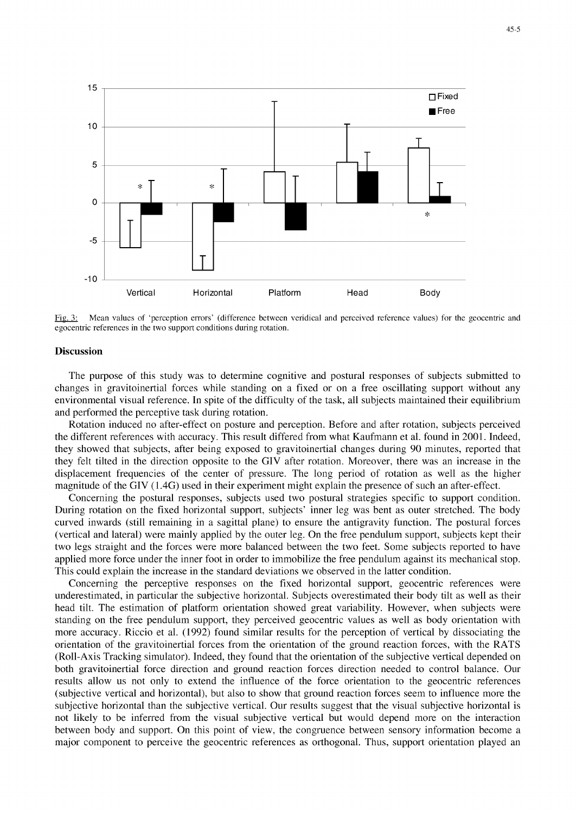

Mean values of 'perception errors' (difference between veridical and perceived reference values) for the geocentric and egocentric references in the two support conditions during rotation.

#### **Discussion**

The purpose of this study was to determine cognitive and postural responses of subjects submitted to changes in gravitoinertial forces while standing on a fixed or on a free oscillating support without any environmental visual reference. In spite of the difficulty of the task, all subjects maintained their equilibrium and performed the perceptive task during rotation.

Rotation induced no after-effect on posture and perception. Before and after rotation, subjects perceived the different references with accuracy. This result differed from what Kaufmann et al. found in 2001. Indeed, they showed that subjects, after being exposed to gravitoinertial changes during 90 minutes, reported that they felt tilted in the direction opposite to the GIV after rotation. Moreover, there was an increase in the displacement frequencies of the center of pressure. The long period of rotation as well as the higher magnitude of the GIV (1.4G) used in their experiment might explain the presence of such an after-effect.

Concerning the postural responses, subjects used two postural strategies specific to support condition. During rotation on the fixed horizontal support, subjects' inner leg was bent as outer stretched. The body curved inwards (still remaining in a sagittal plane) to ensure the antigravity function. The postural forces (vertical and lateral) were mainly applied by the outer leg. On the free pendulum support, subjects kept their two legs straight and the forces were more balanced between the two feet. Some subjects reported to have applied more force under the inner foot in order to immobilize the free pendulum against its mechanical stop. This could explain the increase in the standard deviations we observed in the latter condition.

Concerning the perceptive responses on the fixed horizontal support, geocentric references were underestimated, in particular the subjective horizontal. Subjects overestimated their body tilt as well as their head tilt. The estimation of platform orientation showed great variability. However, when subjects were standing on the free pendulum support, they perceived geocentric values as well as body orientation with more accuracy. Riccio et al. (1992) found similar results for the perception of vertical by dissociating the orientation of the gravitoinertial forces from the orientation of the ground reaction forces, with the RATS (Roll-Axis Tracking simulator). Indeed, they found that the orientation of the subjective vertical depended on both gravitoinertial force direction and ground reaction forces direction needed to control balance. Our results allow us not only to extend the influence of the force orientation to the geocentric references (subjective vertical and horizontal), but also to show that ground reaction forces seem to influence more the subjective horizontal than the subjective vertical. Our results suggest that the visual subjective horizontal is not likely to be inferred from the visual subjective vertical but would depend more on the interaction between body and support. On this point of view, the congruence between sensory information become a major component to perceive the geocentric references as orthogonal. Thus, support orientation played an